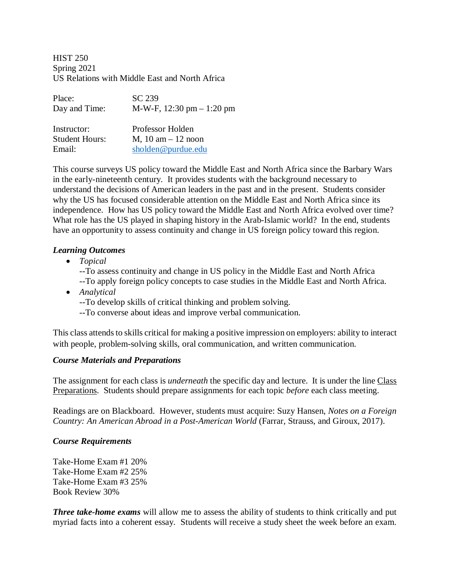HIST 250 Spring 2021 US Relations with Middle East and North Africa

| Place:                | SC 239                       |
|-----------------------|------------------------------|
| Day and Time:         | M-W-F, $12:30$ pm $-1:20$ pm |
|                       |                              |
| Instructor:           | Professor Holden             |
| <b>Student Hours:</b> | $M$ , 10 am $-$ 12 noon      |
| Email:                | sholden@purdue.edu           |

This course surveys US policy toward the Middle East and North Africa since the Barbary Wars in the early-nineteenth century. It provides students with the background necessary to understand the decisions of American leaders in the past and in the present. Students consider why the US has focused considerable attention on the Middle East and North Africa since its independence. How has US policy toward the Middle East and North Africa evolved over time? What role has the US played in shaping history in the Arab-Islamic world? In the end, students have an opportunity to assess continuity and change in US foreign policy toward this region.

#### *Learning Outcomes*

• *Topical*

--To assess continuity and change in US policy in the Middle East and North Africa --To apply foreign policy concepts to case studies in the Middle East and North Africa.

- *Analytical*
	- --To develop skills of critical thinking and problem solving.
	- --To converse about ideas and improve verbal communication.

This class attends to skills critical for making a positive impression on employers: ability to interact with people, problem-solving skills, oral communication, and written communication.

#### *Course Materials and Preparations*

The assignment for each class is *underneath* the specific day and lecture. It is under the line Class Preparations. Students should prepare assignments for each topic *before* each class meeting.

Readings are on Blackboard. However, students must acquire: Suzy Hansen, *Notes on a Foreign Country: An American Abroad in a Post-American World* (Farrar, Strauss, and Giroux, 2017).

#### *Course Requirements*

Take-Home Exam #1 20% Take-Home Exam #2 25% Take-Home Exam #3 25% Book Review 30%

*Three take-home exams* will allow me to assess the ability of students to think critically and put myriad facts into a coherent essay. Students will receive a study sheet the week before an exam.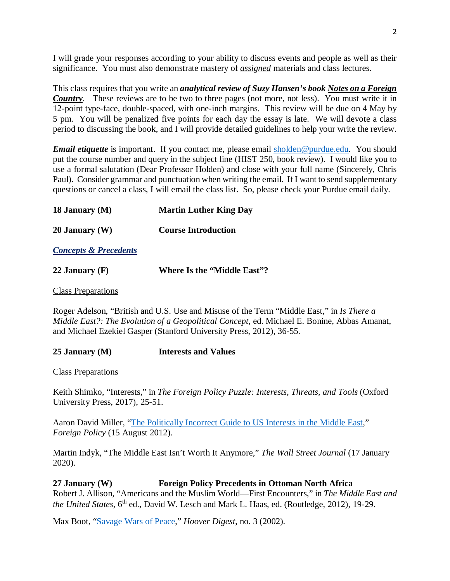I will grade your responses according to your ability to discuss events and people as well as their significance. You must also demonstrate mastery of *assigned* materials and class lectures.

This class requires that you write an *analytical review of Suzy Hansen's book Notes on a Foreign Country*. These reviews are to be two to three pages (not more, not less). You must write it in 12-point type-face, double-spaced, with one-inch margins. This review will be due on 4 May by 5 pm. You will be penalized five points for each day the essay is late. We will devote a class period to discussing the book, and I will provide detailed guidelines to help your write the review.

*Email etiquette* is important. If you contact me, please email [sholden@purdue.edu.](mailto:sholden@purdue.edu) You should put the course number and query in the subject line (HIST 250, book review). I would like you to use a formal salutation (Dear Professor Holden) and close with your full name (Sincerely, Chris Paul). Consider grammar and punctuation when writing the email. If I want to send supplementary questions or cancel a class, I will email the class list. So, please check your Purdue email daily.

| 18 January (M) | <b>Martin Luther King Day</b> |
|----------------|-------------------------------|
|                |                               |

**20 January (W) Course Introduction**

*Concepts & Precedents*

| 22 January $(F)$<br><b>Where Is the "Middle East"?</b> |
|--------------------------------------------------------|
|--------------------------------------------------------|

Class Preparations

Roger Adelson, "British and U.S. Use and Misuse of the Term "Middle East," in *Is There a Middle East?: The Evolution of a Geopolitical Concept*, ed. Michael E. Bonine, Abbas Amanat, and Michael Ezekiel Gasper (Stanford University Press, 2012), 36-55.

**25 January (M) Interests and Values**

Class Preparations

Keith Shimko, "Interests," in *The Foreign Policy Puzzle: Interests, Threats, and Tools* (Oxford University Press, 2017), 25-51.

Aaron David Miller, "The Politically [Incorrect Guide to US Interests in the Middle East,](https://foreignpolicy.com/2012/08/15/the-politically-incorrect-guide-to-u-s-interests-in-the-middle-east/)" *Foreign Policy* (15 August 2012).

Martin Indyk, "The Middle East Isn't Worth It Anymore," *The Wall Street Journal* (17 January 2020).

**27 January (W) Foreign Policy Precedents in Ottoman North Africa** Robert J. Allison, "Americans and the Muslim World—First Encounters," in *The Middle East and the United States*, 6<sup>th</sup> ed., David W. Lesch and Mark L. Haas, ed. (Routledge, 2012), 19-29.

Max Boot, ["Savage Wars of Peace,](https://www.hoover.org/research/savage-wars-peace)" *Hoover Digest*, no. 3 (2002).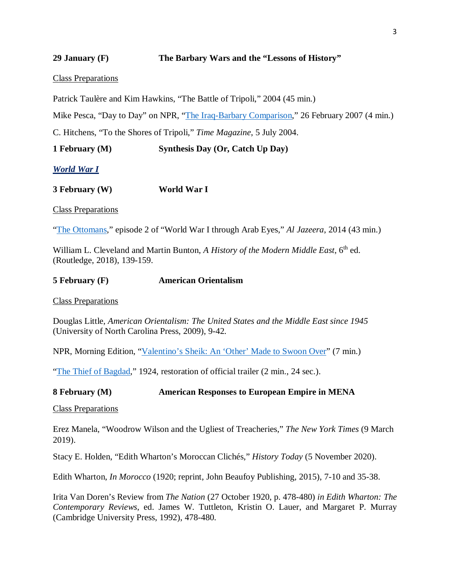#### **29 January (F) The Barbary Wars and the "Lessons of History"**

#### Class Preparations

Patrick Taulère and Kim Hawkins, "The Battle of Tripoli," 2004 (45 min.)

Mike Pesca, "Day to Day" on NPR, ["The Iraq-Barbary Comparison,](https://www.npr.org/templates/story/story.php?storyId=7602136)" 26 February 2007 (4 min.)

C. Hitchens, "To the Shores of Tripoli," *Time Magazine*, 5 July 2004.

**1 February (M) Synthesis Day (Or, Catch Up Day)**

*World War I*

**3 February (W) World War I**

Class Preparations

["The Ottomans,](https://www.aljazeera.com/program/featured-documentaries/2014/12/3/world-war-one-through-arab-eyes)" episode 2 of "World War I through Arab Eyes," *Al Jazeera*, 2014 (43 min.)

William L. Cleveland and Martin Bunton, *A History of the Modern Middle East*, 6<sup>th</sup> ed. (Routledge, 2018), 139-159.

#### **5 February (F) American Orientalism**

Class Preparations

Douglas Little, *American Orientalism: The United States and the Middle East since 1945*  (University of North Carolina Press, 2009), 9-42.

NPR, Morning Edition, ["Valentino's Sheik: An 'Other' Made to Swoon Over"](https://www.npr.org/templates/story/story.php?storyId=18602260) (7 min.)

["The Thief of Bagdad,](https://www.youtube.com/watch?v=SC1PybVAA5c)" 1924, restoration of official trailer (2 min., 24 sec.).

#### **8 February (M) American Responses to European Empire in MENA**

Class Preparations

Erez Manela, "Woodrow Wilson and the Ugliest of Treacheries," *The New York Times* (9 March 2019).

Stacy E. Holden, "Edith Wharton's Moroccan Clichés," *History Today* (5 November 2020).

Edith Wharton, *In Morocco* (1920; reprint, John Beaufoy Publishing, 2015), 7-10 and 35-38.

Irita Van Doren's Review from *The Nation* (27 October 1920, p. 478-480) *in Edith Wharton: The Contemporary Reviews*, ed. James W. Tuttleton, Kristin O. Lauer, and Margaret P. Murray (Cambridge University Press, 1992), 478-480.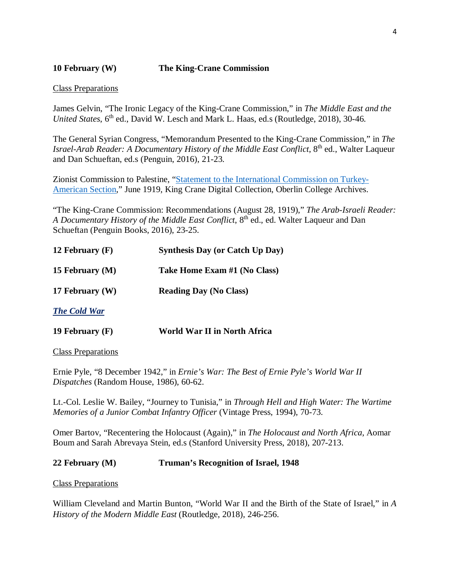# **10 February (W) The King-Crane Commission**

#### Class Preparations

James Gelvin, "The Ironic Legacy of the King-Crane Commission," in *The Middle East and the United States*, 6<sup>th</sup> ed., David W. Lesch and Mark L. Haas, ed.s (Routledge, 2018), 30-46.

The General Syrian Congress, "Memorandum Presented to the King-Crane Commission," in *The Israel-Arab Reader: A Documentary History of the Middle East Conflict*, 8<sup>th</sup> ed., Walter Laqueur and Dan Schueftan, ed.s (Penguin, 2016), 21-23.

Zionist Commission to Palestine, ["Statement to the International Commission on Turkey-](http://dcollections.oberlin.edu/digital/collection/kingcrane/id/3197/rec/2)[American Section,](http://dcollections.oberlin.edu/digital/collection/kingcrane/id/3197/rec/2)" June 1919, King Crane Digital Collection, Oberlin College Archives.

"The King-Crane Commission: Recommendations (August 28, 1919)," *The Arab-Israeli Reader: A Documentary History of the Middle East Conflict*, 8<sup>th</sup> ed., ed. Walter Laqueur and Dan Schueftan (Penguin Books, 2016), 23-25.

| 12 February $(F)$   | <b>Synthesis Day (or Catch Up Day)</b> |
|---------------------|----------------------------------------|
| 15 February (M)     | Take Home Exam #1 (No Class)           |
| 17 February $(W)$   | <b>Reading Day (No Class)</b>          |
| <b>The Cold War</b> |                                        |

**19 February (F) World War II in North Africa**

Class Preparations

Ernie Pyle, "8 December 1942," in *Ernie's War: The Best of Ernie Pyle's World War II Dispatches* (Random House, 1986), 60-62.

Lt.-Col. Leslie W. Bailey, "Journey to Tunisia," in *Through Hell and High Water: The Wartime Memories of a Junior Combat Infantry Officer* (Vintage Press, 1994), 70-73.

Omer Bartov, "Recentering the Holocaust (Again)," in *The Holocaust and North Africa*, Aomar Boum and Sarah Abrevaya Stein, ed.s (Stanford University Press, 2018), 207-213.

## **22 February (M) Truman's Recognition of Israel, 1948**

Class Preparations

William Cleveland and Martin Bunton, "World War II and the Birth of the State of Israel," in *A History of the Modern Middle East* (Routledge, 2018), 246-256.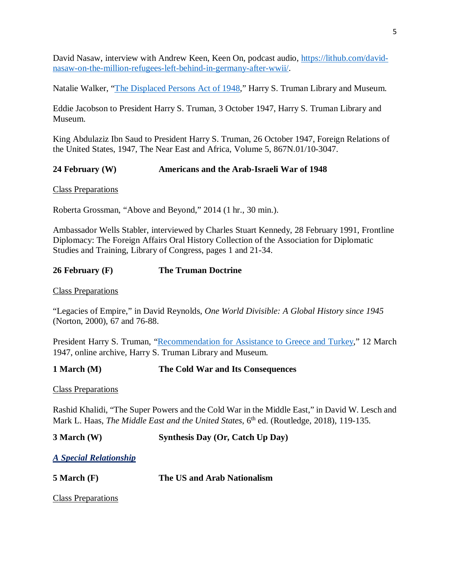David Nasaw, interview with Andrew Keen, Keen On, podcast audio, [https://lithub.com/david](https://lithub.com/david-nasaw-on-the-million-refugees-left-behind-in-germany-after-wwii/)[nasaw-on-the-million-refugees-left-behind-in-germany-after-wwii/.](https://lithub.com/david-nasaw-on-the-million-refugees-left-behind-in-germany-after-wwii/)

Natalie Walker, ["The Displaced Persons Act of 1948,](https://www.trumanlibraryinstitute.org/the-displaced-persons-act-of-1948/)" Harry S. Truman Library and Museum.

Eddie Jacobson to President Harry S. Truman, 3 October 1947, Harry S. Truman Library and Museum.

King Abdulaziz Ibn Saud to President Harry S. Truman, 26 October 1947, Foreign Relations of the United States, 1947, The Near East and Africa, Volume 5, 867N.01/10-3047.

# **24 February (W) Americans and the Arab-Israeli War of 1948**

Class Preparations

Roberta Grossman, "Above and Beyond," 2014 (1 hr., 30 min.).

Ambassador Wells Stabler, interviewed by Charles Stuart Kennedy, 28 February 1991, Frontline Diplomacy: The Foreign Affairs Oral History Collection of the Association for Diplomatic Studies and Training, Library of Congress, pages 1 and 21-34.

## **26 February (F) The Truman Doctrine**

Class Preparations

"Legacies of Empire," in David Reynolds, *One World Divisible: A Global History since 1945* (Norton, 2000), 67 and 76-88.

President Harry S. Truman, ["Recommendation for Assistance to Greece and Turkey,](https://www.trumanlibrary.gov/library/research-files/address-president-congress-recommending-assistance-greece-and-turkey?documentid=NA&pagenumber=1)" 12 March 1947, online archive, Harry S. Truman Library and Museum.

**1 March (M) The Cold War and Its Consequences**

Class Preparations

Rashid Khalidi, "The Super Powers and the Cold War in the Middle East," in David W. Lesch and Mark L. Haas, *The Middle East and the United States*, 6<sup>th</sup> ed. (Routledge, 2018), 119-135.

**3 March (W) Synthesis Day (Or, Catch Up Day)**

*A Special Relationship*

**5 March (F) The US and Arab Nationalism**

Class Preparations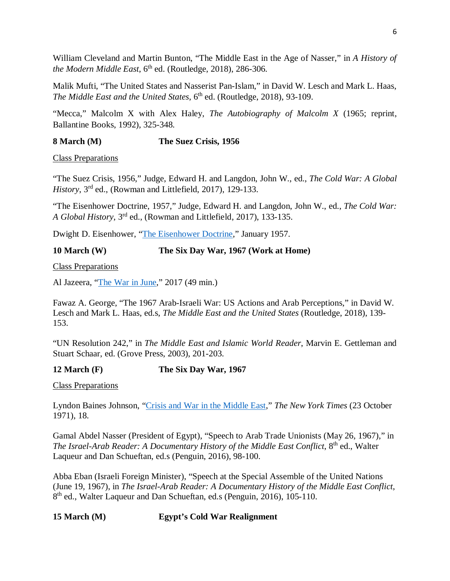William Cleveland and Martin Bunton, "The Middle East in the Age of Nasser," in *A History of the Modern Middle East*, 6<sup>th</sup> ed. (Routledge, 2018), 286-306.

Malik Mufti, "The United States and Nasserist Pan-Islam," in David W. Lesch and Mark L. Haas, *The Middle East and the United States*, 6<sup>th</sup> ed. (Routledge, 2018), 93-109.

"Mecca," Malcolm X with Alex Haley, *The Autobiography of Malcolm X* (1965; reprint, Ballantine Books, 1992), 325-348.

# **8 March (M) The Suez Crisis, 1956**

Class Preparations

"The Suez Crisis, 1956," Judge, Edward H. and Langdon, John W., ed., *The Cold War: A Global History*, 3rd ed., (Rowman and Littlefield, 2017), 129-133.

"The Eisenhower Doctrine, 1957," Judge, Edward H. and Langdon, John W., ed., *The Cold War: A Global History*, 3rd ed., (Rowman and Littlefield, 2017), 133-135.

Dwight D. Eisenhower, ["The Eisenhower Doctrine,](https://millercenter.org/the-presidency/presidential-speeches/january-5-1957-eisenhower-doctrine)" January 1957.

## **10 March (W) The Six Day War, 1967 (Work at Home)**

Class Preparations

Al Jazeera, ["The War in June,](https://www.aljazeera.com/program/featured-documentaries/2017/6/2/the-war-in-june-1967)" 2017 (49 min.)

Fawaz A. George, "The 1967 Arab-Israeli War: US Actions and Arab Perceptions," in David W. Lesch and Mark L. Haas, ed.s, *The Middle East and the United States* (Routledge, 2018), 139- 153.

"UN Resolution 242," in *The Middle East and Islamic World Reader*, Marvin E. Gettleman and Stuart Schaar, ed. (Grove Press, 2003), 201-203.

# **12 March (F) The Six Day War, 1967**

Class Preparations

Lyndon Baines Johnson, ["Crisis and War in the Middle East,](https://www.nytimes.com/1971/10/23/archives/by-lyndon-b-johnson-crisis-and-war-in-the-mideast-in-1967-the-hot.html)" *The New York Times* (23 October 1971), 18.

Gamal Abdel Nasser (President of Egypt), "Speech to Arab Trade Unionists (May 26, 1967)," in *The Israel-Arab Reader: A Documentary History of the Middle East Conflict*, 8<sup>th</sup> ed., Walter Laqueur and Dan Schueftan, ed.s (Penguin, 2016), 98-100.

Abba Eban (Israeli Foreign Minister), "Speech at the Special Assemble of the United Nations (June 19, 1967), in *The Israel-Arab Reader: A Documentary History of the Middle East Conflict*, 8<sup>th</sup> ed., Walter Laqueur and Dan Schueftan, ed.s (Penguin, 2016), 105-110.

# **15 March (M) Egypt's Cold War Realignment**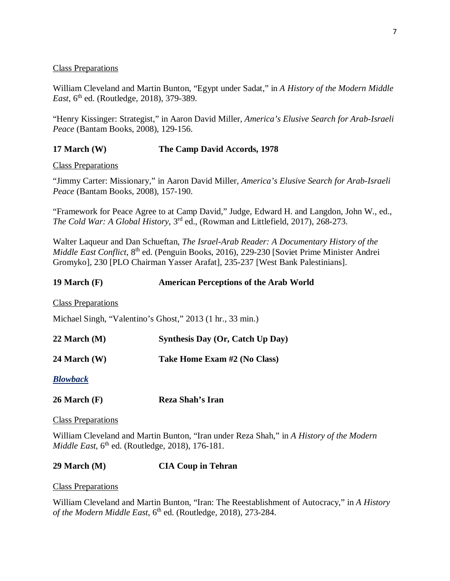#### Class Preparations

William Cleveland and Martin Bunton, "Egypt under Sadat," in *A History of the Modern Middle East*, 6<sup>th</sup> ed. (Routledge, 2018), 379-389.

"Henry Kissinger: Strategist," in Aaron David Miller, *America's Elusive Search for Arab-Israeli Peace* (Bantam Books, 2008), 129-156.

## **17 March (W) The Camp David Accords, 1978**

Class Preparations

"Jimmy Carter: Missionary," in Aaron David Miller, *America's Elusive Search for Arab-Israeli Peace* (Bantam Books, 2008), 157-190.

"Framework for Peace Agree to at Camp David," Judge, Edward H. and Langdon, John W., ed., *The Cold War: A Global History*, 3rd ed., (Rowman and Littlefield, 2017), 268-273.

Walter Laqueur and Dan Schueftan, *The Israel-Arab Reader: A Documentary History of the Middle East Conflict*, 8<sup>th</sup> ed. (Penguin Books, 2016), 229-230 [Soviet Prime Minister Andrei Gromyko], 230 [PLO Chairman Yasser Arafat], 235-237 [West Bank Palestinians].

## **19 March (F) American Perceptions of the Arab World**

Class Preparations

Michael Singh, "Valentino's Ghost," 2013 (1 hr., 33 min.)

**22 March (M) Synthesis Day (Or, Catch Up Day)**

**24 March (W) Take Home Exam #2 (No Class)**

*Blowback*

**26 March (F) Reza Shah's Iran**

Class Preparations

William Cleveland and Martin Bunton, "Iran under Reza Shah," in *A History of the Modern Middle East*, 6<sup>th</sup> ed. (Routledge, 2018), 176-181.

## **29 March (M) CIA Coup in Tehran**

Class Preparations

William Cleveland and Martin Bunton, "Iran: The Reestablishment of Autocracy," in *A History*  of the Modern Middle East, 6<sup>th</sup> ed. (Routledge, 2018), 273-284.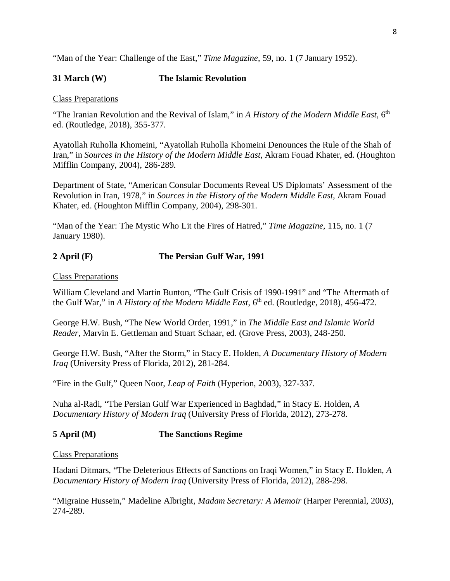"Man of the Year: Challenge of the East," *Time Magazine*, 59, no. 1 (7 January 1952).

## **31 March (W) The Islamic Revolution**

#### Class Preparations

"The Iranian Revolution and the Revival of Islam," in *A History of the Modern Middle East*, 6th ed. (Routledge, 2018), 355-377.

Ayatollah Ruholla Khomeini, "Ayatollah Ruholla Khomeini Denounces the Rule of the Shah of Iran," in *Sources in the History of the Modern Middle East*, Akram Fouad Khater, ed. (Houghton Mifflin Company, 2004), 286-289.

Department of State, "American Consular Documents Reveal US Diplomats' Assessment of the Revolution in Iran, 1978," in *Sources in the History of the Modern Middle East*, Akram Fouad Khater, ed. (Houghton Mifflin Company, 2004), 298-301.

"Man of the Year: The Mystic Who Lit the Fires of Hatred," *Time Magazine*, 115, no. 1 (7 January 1980).

## **2 April (F) The Persian Gulf War, 1991**

Class Preparations

William Cleveland and Martin Bunton, "The Gulf Crisis of 1990-1991" and "The Aftermath of the Gulf War," in *A History of the Modern Middle East*, 6<sup>th</sup> ed. (Routledge, 2018), 456-472.

George H.W. Bush, "The New World Order, 1991," in *The Middle East and Islamic World Reader*, Marvin E. Gettleman and Stuart Schaar, ed. (Grove Press, 2003), 248-250.

George H.W. Bush, "After the Storm," in Stacy E. Holden, *A Documentary History of Modern Iraq* (University Press of Florida, 2012), 281-284.

"Fire in the Gulf," Queen Noor, *Leap of Faith* (Hyperion, 2003), 327-337.

Nuha al-Radi, "The Persian Gulf War Experienced in Baghdad," in Stacy E. Holden, *A Documentary History of Modern Iraq* (University Press of Florida, 2012), 273-278.

## **5 April (M) The Sanctions Regime**

#### Class Preparations

Hadani Ditmars, "The Deleterious Effects of Sanctions on Iraqi Women," in Stacy E. Holden, *A Documentary History of Modern Iraq* (University Press of Florida, 2012), 288-298.

"Migraine Hussein," Madeline Albright, *Madam Secretary: A Memoir* (Harper Perennial, 2003), 274-289.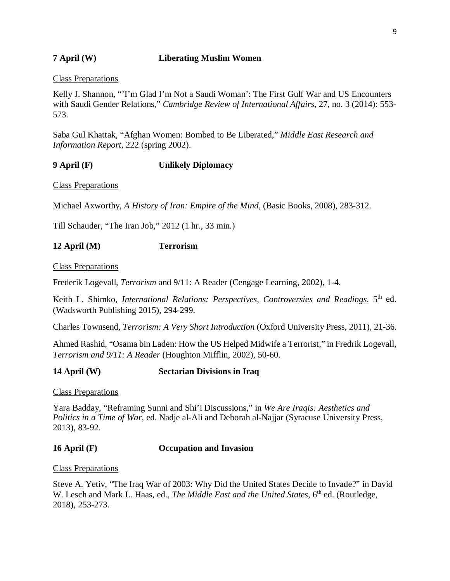## **7 April (W) Liberating Muslim Women**

#### Class Preparations

Kelly J. Shannon, "'I'm Glad I'm Not a Saudi Woman': The First Gulf War and US Encounters with Saudi Gender Relations," *Cambridge Review of International Affairs*, 27, no. 3 (2014): 553- 573.

Saba Gul Khattak, "Afghan Women: Bombed to Be Liberated," *Middle East Research and Information Report*, 222 (spring 2002).

## **9 April (F) Unlikely Diplomacy**

Class Preparations

Michael Axworthy, *A History of Iran: Empire of the Mind*, (Basic Books, 2008), 283-312.

Till Schauder, "The Iran Job," 2012 (1 hr., 33 min.)

## **12 April (M) Terrorism**

Class Preparations

Frederik Logevall, *Terrorism* and 9/11: A Reader (Cengage Learning, 2002), 1-4.

Keith L. Shimko, *International Relations: Perspectives, Controversies and Readings*, 5<sup>th</sup> ed. (Wadsworth Publishing 2015), 294-299.

Charles Townsend, *Terrorism: A Very Short Introduction* (Oxford University Press, 2011), 21-36.

Ahmed Rashid, "Osama bin Laden: How the US Helped Midwife a Terrorist," in Fredrik Logevall, *Terrorism and 9/11: A Reader* (Houghton Mifflin, 2002), 50-60.

## **14 April (W) Sectarian Divisions in Iraq**

Class Preparations

Yara Badday, "Reframing Sunni and Shi'i Discussions," in *We Are Iraqis: Aesthetics and Politics in a Time of War*, ed. Nadje al-Ali and Deborah al-Najjar (Syracuse University Press, 2013), 83-92.

## **16 April (F) Occupation and Invasion**

Class Preparations

Steve A. Yetiv, "The Iraq War of 2003: Why Did the United States Decide to Invade?" in David W. Lesch and Mark L. Haas, ed., *The Middle East and the United States*, 6<sup>th</sup> ed. (Routledge, 2018), 253-273.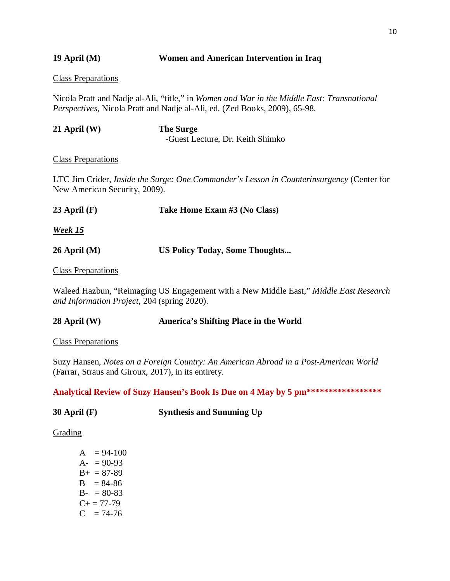**19 April (M) Women and American Intervention in Iraq**

Class Preparations

Nicola Pratt and Nadje al-Ali, "title," in *Women and War in the Middle East: Transnational Perspectives*, Nicola Pratt and Nadje al-Ali, ed. (Zed Books, 2009), 65-98.

| $21$ April (W) | <b>The Surge</b>                 |
|----------------|----------------------------------|
|                | -Guest Lecture, Dr. Keith Shimko |

## Class Preparations

LTC Jim Crider, *Inside the Surge: One Commander's Lesson in Counterinsurgency* (Center for New American Security, 2009).

| 23 April $(F)$     | Take Home Exam #3 (No Class)          |
|--------------------|---------------------------------------|
| <b>Week 15</b>     |                                       |
| $26$ April (M)     | <b>US Policy Today, Some Thoughts</b> |
| Class Draperations |                                       |

## Class Preparations

Waleed Hazbun, "Reimaging US Engagement with a New Middle East," *Middle East Research and Information Project*, 204 (spring 2020).

# **28 April (W) America's Shifting Place in the World**

Class Preparations

Suzy Hansen, *Notes on a Foreign Country: An American Abroad in a Post-American World*  (Farrar, Straus and Giroux, 2017), in its entirety.

**Analytical Review of Suzy Hansen's Book Is Due on 4 May by 5 pm\*\*\*\*\*\*\*\*\*\*\*\*\*\*\*\*\***

| 30 April $(F)$ | <b>Synthesis and Summing Up</b> |
|----------------|---------------------------------|
|----------------|---------------------------------|

## Grading

 $A = 94-100$  $A- = 90-93$  $B_{+} = 87 - 89$  $B = 84-86$  $B - 80-83$  $C_{+} = 77 - 79$  $C = 74-76$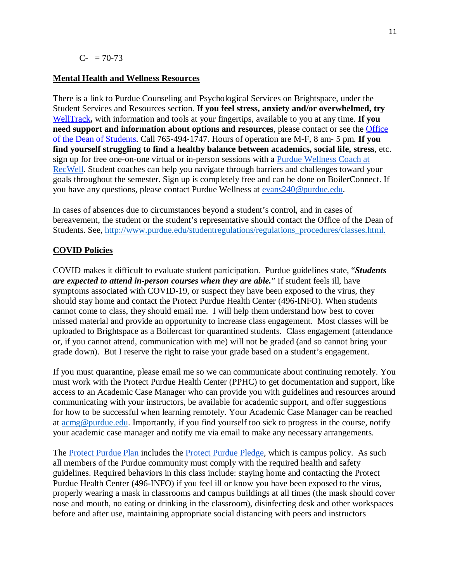#### **Mental Health and Wellness Resources**

There is a link to Purdue Counseling and Psychological Services on Brightspace, under the Student Services and Resources section. **If you feel stress, anxiety and/or overwhelmed, try**  [WellTrack](https://purdue.welltrack.com/)**,** with information and tools at your fingertips, available to you at any time. **If you need support and information about options and resources**, please contact or see the [Office](http://www.purdue.edu/odos)  [of the Dean of Students.](http://www.purdue.edu/odos) Call 765-494-1747. Hours of operation are M-F, 8 am- 5 pm. **If you find yourself struggling to find a healthy balance between academics, social life, stress**, etc. sign up for free one-on-one virtual or in-person sessions with a [Purdue Wellness Coach at](https://www.purdue.edu/recwell/fitness-wellness/wellness/one-on-one-coaching/wellness-coaching.php)  [RecWell.](https://www.purdue.edu/recwell/fitness-wellness/wellness/one-on-one-coaching/wellness-coaching.php) Student coaches can help you navigate through barriers and challenges toward your goals throughout the semester. Sign up is completely free and can be done on BoilerConnect. If you have any questions, please contact Purdue Wellness at [evans240@purdue.edu.](mailto:evans240@purdue.edu)

In cases of absences due to circumstances beyond a student's control, and in cases of bereavement, the student or the student's representative should contact the Office of the Dean of Students. See, [http://www.purdue.edu/studentregulations/regulations\\_procedures/classes.html.](http://www.purdue.edu/studentregulations/regulations_procedures/classes.html)

## **COVID Policies**

COVID makes it difficult to evaluate student participation. Purdue guidelines state, "*Students are expected to attend in-person courses when they are able.*" If student feels ill, have symptoms associated with COVID-19, or suspect they have been exposed to the virus, they should stay home and contact the Protect Purdue Health Center (496-INFO). When students cannot come to class, they should email me. I will help them understand how best to cover missed material and provide an opportunity to increase class engagement. Most classes will be uploaded to Brightspace as a Boilercast for quarantined students. Class engagement (attendance or, if you cannot attend, communication with me) will not be graded (and so cannot bring your grade down). But I reserve the right to raise your grade based on a student's engagement.

If you must quarantine, please email me so we can communicate about continuing remotely. You must work with the Protect Purdue Health Center (PPHC) to get documentation and support, like access to an Academic Case Manager who can provide you with guidelines and resources around communicating with your instructors, be available for academic support, and offer suggestions for how to be successful when learning remotely. Your Academic Case Manager can be reached at [acmg@purdue.edu.](mailto:acmg@purdue.edu) Importantly, if you find yourself too sick to progress in the course, notify your academic case manager and notify me via email to make any necessary arrangements.

The [Protect Purdue Plan](https://protect.purdue.edu/plan/) includes the [Protect Purdue Pledge,](https://protect.purdue.edu/pledge/?_ga=2.210401429.1213937682.1590527202-1814553957.1589408073) which is campus policy. As such all members of the Purdue community must comply with the required health and safety guidelines. Required behaviors in this class include: staying home and contacting the Protect Purdue Health Center (496-INFO) if you feel ill or know you have been exposed to the virus, properly wearing a mask in classrooms and campus buildings at all times (the mask should cover nose and mouth, no eating or drinking in the classroom), disinfecting desk and other workspaces before and after use, maintaining appropriate social distancing with peers and instructors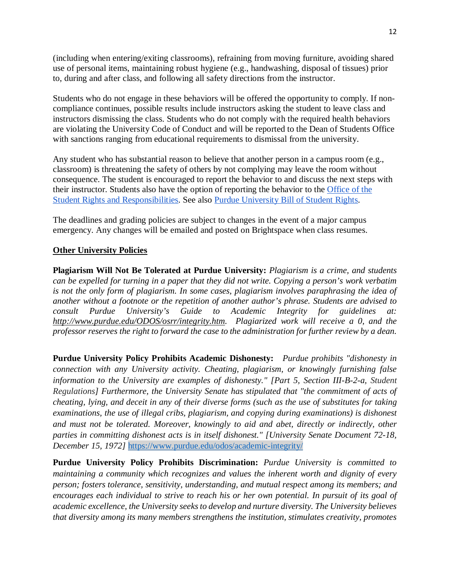(including when entering/exiting classrooms), refraining from moving furniture, avoiding shared use of personal items, maintaining robust hygiene (e.g., handwashing, disposal of tissues) prior to, during and after class, and following all safety directions from the instructor.

Students who do not engage in these behaviors will be offered the opportunity to comply. If noncompliance continues, possible results include instructors asking the student to leave class and instructors dismissing the class. Students who do not comply with the required health behaviors are violating the University Code of Conduct and will be reported to the Dean of Students Office with sanctions ranging from educational requirements to dismissal from the university.

Any student who has substantial reason to believe that another person in a campus room (e.g., classroom) is threatening the safety of others by not complying may leave the room without consequence. The student is encouraged to report the behavior to and discuss the next steps with their instructor. Students also have the option of reporting the behavior to the [Office of the](https://www.purdue.edu/odos/osrr/)  [Student Rights and Responsibilities.](https://www.purdue.edu/odos/osrr/) See also [Purdue University Bill of Student Rights.](https://catalog.purdue.edu/content.php?catoid=7&navoid=2852#purdue-university-bill-of-student-rights)

The deadlines and grading policies are subject to changes in the event of a major campus emergency. Any changes will be emailed and posted on Brightspace when class resumes.

## **Other University Policies**

**Plagiarism Will Not Be Tolerated at Purdue University:** *Plagiarism is a crime, and students can be expelled for turning in a paper that they did not write. Copying a person's work verbatim is not the only form of plagiarism. In some cases, plagiarism involves paraphrasing the idea of another without a footnote or the repetition of another author's phrase. Students are advised to consult Purdue University's Guide to Academic Integrity for guidelines at: http://www.purdue.edu/ODOS/osrr/integrity.htm. Plagiarized work will receive a 0, and the professor reserves the right to forward the case to the administration for further review by a dean.*

**Purdue University Policy Prohibits Academic Dishonesty:** *Purdue prohibits "dishonesty in connection with any University activity. Cheating, plagiarism, or knowingly furnishing false information to the University are examples of dishonesty." [Part 5, Section III-B-2-a, [Student](http://www.purdue.edu/univregs/)  [Regulations\]](http://www.purdue.edu/univregs/) Furthermore, the University Senate has stipulated that "the commitment of acts of cheating, lying, and deceit in any of their diverse forms (such as the use of substitutes for taking examinations, the use of illegal cribs, plagiarism, and copying during examinations) is dishonest and must not be tolerated. Moreover, knowingly to aid and abet, directly or indirectly, other parties in committing dishonest acts is in itself dishonest." [University Senate Document 72-18, December 15, 1972]* <https://www.purdue.edu/odos/academic-integrity/>

**Purdue University Policy Prohibits Discrimination:** *Purdue University is committed to maintaining a community which recognizes and values the inherent worth and dignity of every person; fosters tolerance, sensitivity, understanding, and mutual respect among its members; and*  encourages each individual to strive to reach his or her own potential. In pursuit of its goal of *academic excellence, the University seeks to develop and nurture diversity. The University believes that diversity among its many members strengthens the institution, stimulates creativity, promotes*